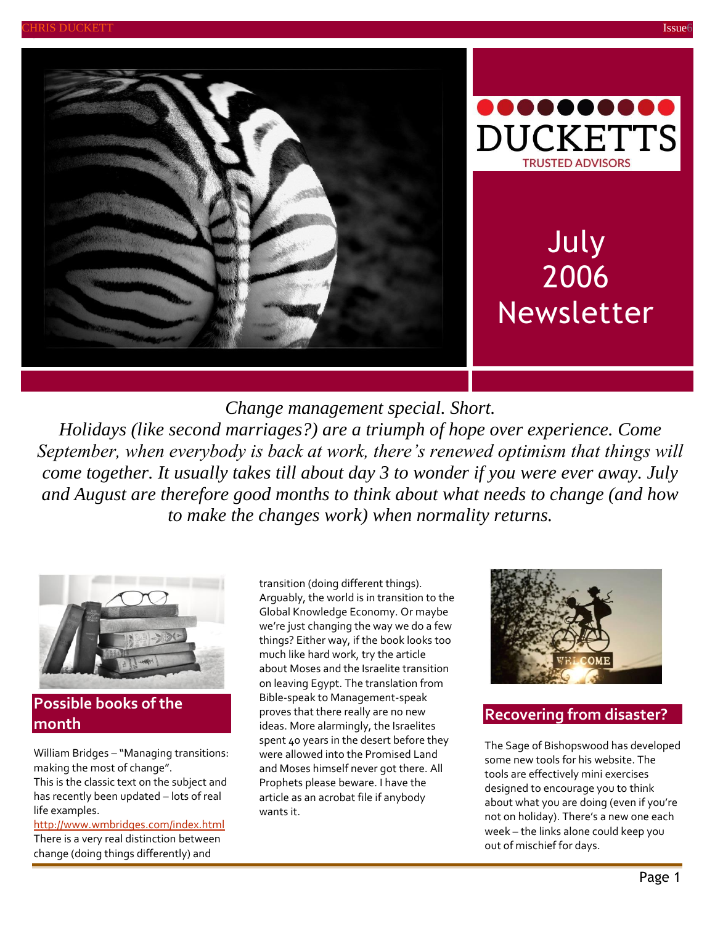



# July 2006 Newsletter

*Change management special. Short.*

*Holidays (like second marriages?) are a triumph of hope over experience. Come September, when everybody is back at work, there's renewed optimism that things will come together. It usually takes till about day 3 to wonder if you were ever away. July and August are therefore good months to think about what needs to change (and how to make the changes work) when normality returns.*



### **Possible books of the month**

William Bridges – "Managing transitions: making the most of change". This is the classic text on the subject and has recently been updated – lots of real life examples.

<http://www.wmbridges.com/index.html> There is a very real distinction between change (doing things differently) and

transition (doing different things). Arguably, the world is in transition to the Global Knowledge Economy. Or maybe we're just changing the way we do a few things? Either way, if the book looks too much like hard work, try the article about Moses and the Israelite transition on leaving Egypt. The translation from Bible-speak to Management-speak proves that there really are no new ideas. More alarmingly, the Israelites spent 40 years in the desert before they were allowed into the Promised Land and Moses himself never got there. All Prophets please beware. I have the article as an acrobat file if anybody wants it.



### **Recovering from disaster?**

The Sage of Bishopswood has developed some new tools for his website. The tools are effectively mini exercises designed to encourage you to think about what you are doing (even if you're not on holiday). There's a new one each week – the links alone could keep you out of mischief for days.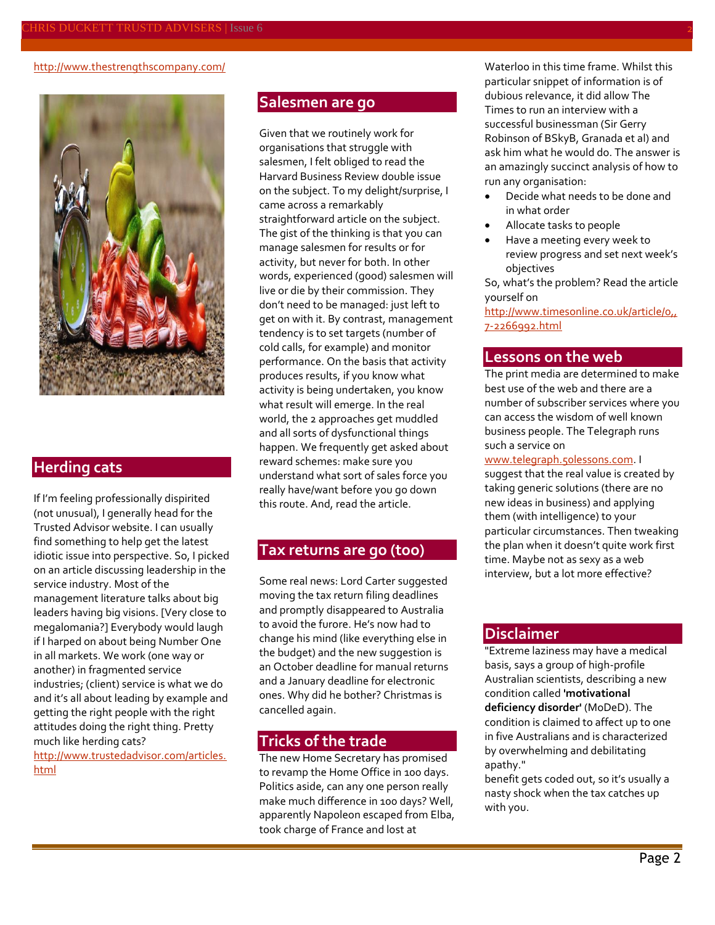#### <http://www.thestrengthscompany.com/>



#### **Herding cats**

If I'm feeling professionally dispirited (not unusual), I generally head for the Trusted Advisor website. I can usually find something to help get the latest idiotic issue into perspective. So, I picked on an article discussing leadership in the service industry. Most of the management literature talks about big leaders having big visions. [Very close to megalomania?] Everybody would laugh if I harped on about being Number One in all markets. We work (one way or another) in fragmented service industries; (client) service is what we do and it's all about leading by example and getting the right people with the right attitudes doing the right thing. Pretty much like herding cats?

[http://www.trustedadvisor.com/articles.](http://www.trustedadvisor.com/articles.html) [html](http://www.trustedadvisor.com/articles.html)

#### **Salesmen are go**

Given that we routinely work for organisations that struggle with salesmen, I felt obliged to read the Harvard Business Review double issue on the subject. To my delight/surprise, I came across a remarkably straightforward article on the subject. The gist of the thinking is that you can manage salesmen for results or for activity, but never for both. In other words, experienced (good) salesmen will live or die by their commission. They don't need to be managed: just left to get on with it. By contrast, management tendency is to set targets (number of cold calls, for example) and monitor performance. On the basis that activity produces results, if you know what activity is being undertaken, you know what result will emerge. In the real world, the 2 approaches get muddled and all sorts of dysfunctional things happen. We frequently get asked about reward schemes: make sure you understand what sort of sales force you really have/want before you go down this route. And, read the article.

#### **Tax returns are go (too)**

Some real news: Lord Carter suggested moving the tax return filing deadlines and promptly disappeared to Australia to avoid the furore. He's now had to change his mind (like everything else in the budget) and the new suggestion is an October deadline for manual returns and a January deadline for electronic ones. Why did he bother? Christmas is cancelled again.

#### **Tricks of the trade**

The new Home Secretary has promised to revamp the Home Office in 100 days. Politics aside, can any one person really make much difference in 100 days? Well, apparently Napoleon escaped from Elba, took charge of France and lost at

Waterloo in this time frame. Whilst this particular snippet of information is of dubious relevance, it did allow The Times to run an interview with a successful businessman (Sir Gerry Robinson of BSkyB, Granada et al) and ask him what he would do. The answer is an amazingly succinct analysis of how to run any organisation:

- Decide what needs to be done and in what order
- Allocate tasks to people
- Have a meeting every week to review progress and set next week's objectives

So, what's the problem? Read the article yourself on

[http://www.timesonline.co.uk/article/0,,](http://www.timesonline.co.uk/article/0,,7-2266992.html) [7-2266992.html](http://www.timesonline.co.uk/article/0,,7-2266992.html)

#### **Lessons on the web**

The print media are determined to make best use of the web and there are a number of subscriber services where you can access the wisdom of well known business people. The Telegraph runs such a service on

[www.telegraph.50lessons.com.](http://www.telegraph.50lessons.com/) I

suggest that the real value is created by taking generic solutions (there are no new ideas in business) and applying them (with intelligence) to your particular circumstances. Then tweaking the plan when it doesn't quite work first time. Maybe not as sexy as a web interview, but a lot more effective?

#### **Disclaimer**

"Extreme laziness may have a medical basis, says a group of high-profile Australian scientists, describing a new condition called **'motivational deficiency disorder'** (MoDeD). The condition is claimed to affect up to one in five Australians and is characterized by overwhelming and debilitating apathy."

benefit gets coded out, so it's usually a nasty shock when the tax catches up with you.